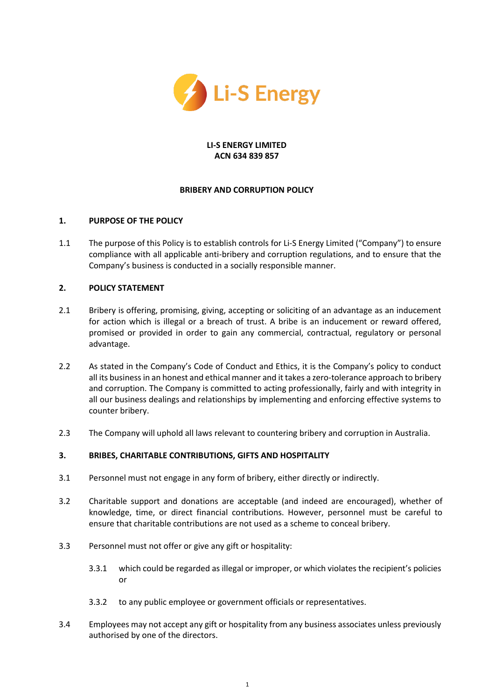

### **LI-S ENERGY LIMITED ACN 634 839 857**

### **BRIBERY AND CORRUPTION POLICY**

# **1. PURPOSE OF THE POLICY**

1.1 The purpose of this Policy is to establish controls for Li-S Energy Limited ("Company") to ensure compliance with all applicable anti-bribery and corruption regulations, and to ensure that the Company's business is conducted in a socially responsible manner.

# **2. POLICY STATEMENT**

- 2.1 Bribery is offering, promising, giving, accepting or soliciting of an advantage as an inducement for action which is illegal or a breach of trust. A bribe is an inducement or reward offered, promised or provided in order to gain any commercial, contractual, regulatory or personal advantage.
- 2.2 As stated in the Company's Code of Conduct and Ethics, it is the Company's policy to conduct all its business in an honest and ethical manner and it takes a zero-tolerance approach to bribery and corruption. The Company is committed to acting professionally, fairly and with integrity in all our business dealings and relationships by implementing and enforcing effective systems to counter bribery.
- 2.3 The Company will uphold all laws relevant to countering bribery and corruption in Australia.

### **3. BRIBES, CHARITABLE CONTRIBUTIONS, GIFTS AND HOSPITALITY**

- 3.1 Personnel must not engage in any form of bribery, either directly or indirectly.
- 3.2 Charitable support and donations are acceptable (and indeed are encouraged), whether of knowledge, time, or direct financial contributions. However, personnel must be careful to ensure that charitable contributions are not used as a scheme to conceal bribery.
- 3.3 Personnel must not offer or give any gift or hospitality:
	- 3.3.1 which could be regarded as illegal or improper, or which violates the recipient's policies or
	- 3.3.2 to any public employee or government officials or representatives.
- 3.4 Employees may not accept any gift or hospitality from any business associates unless previously authorised by one of the directors.